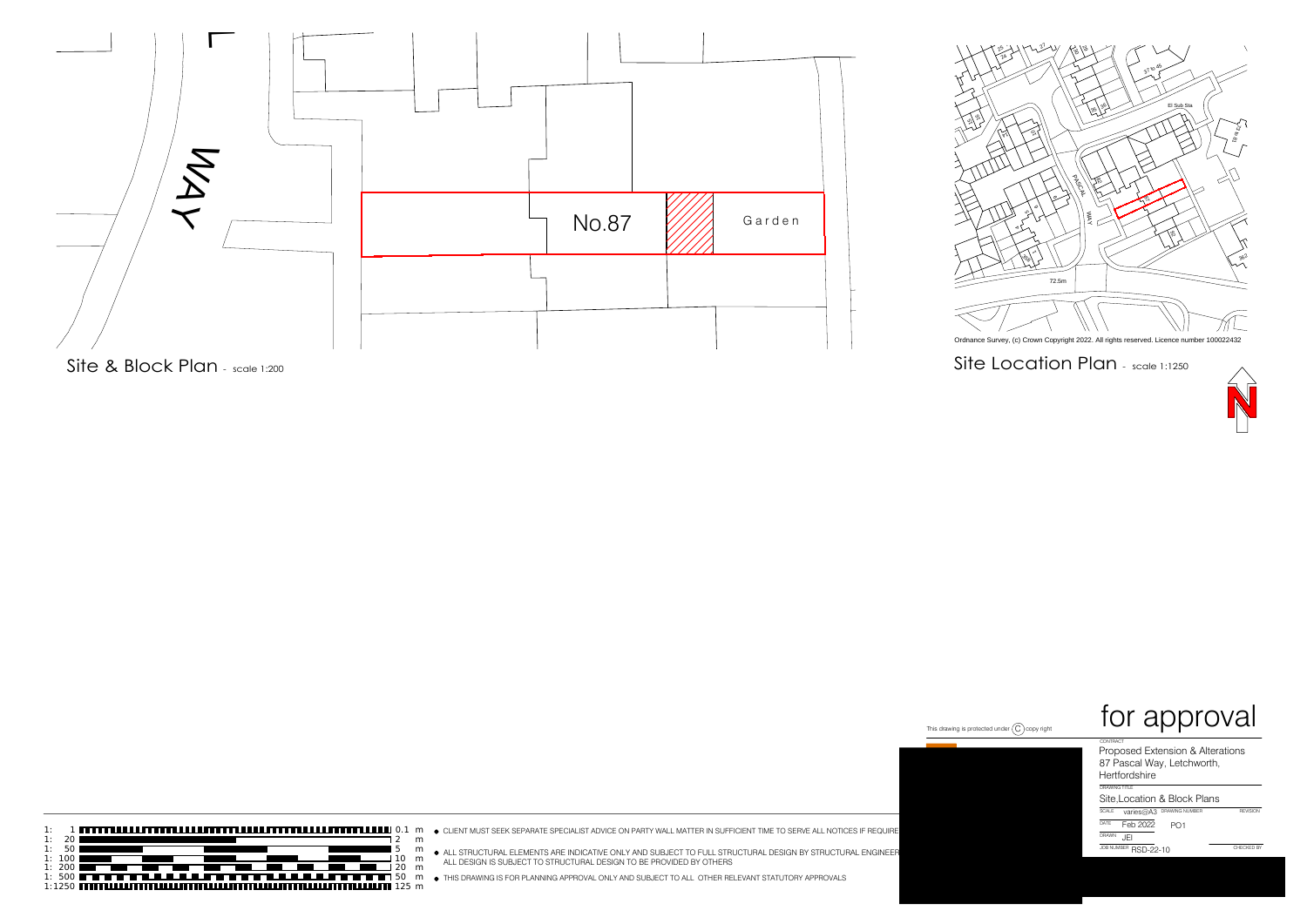











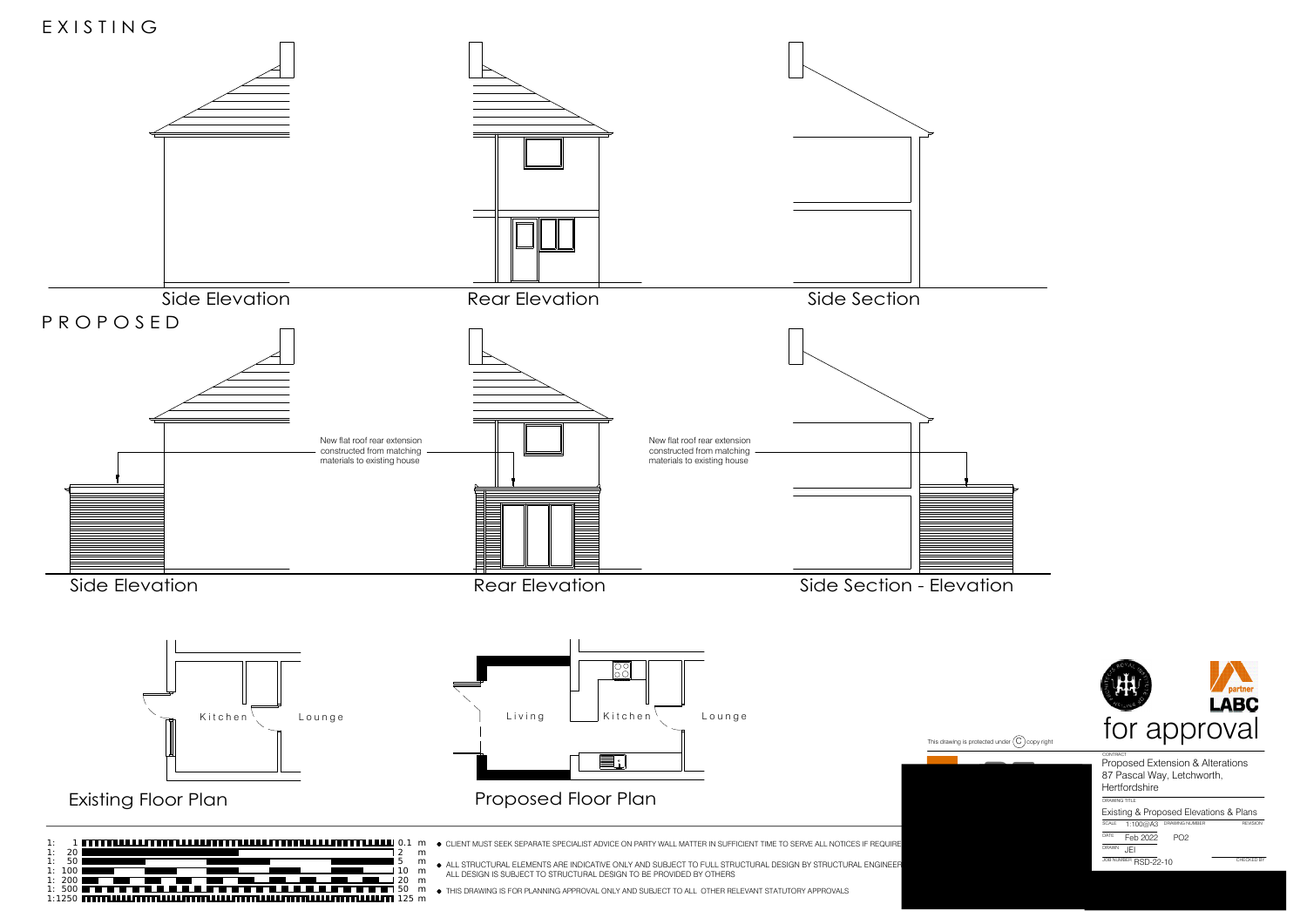





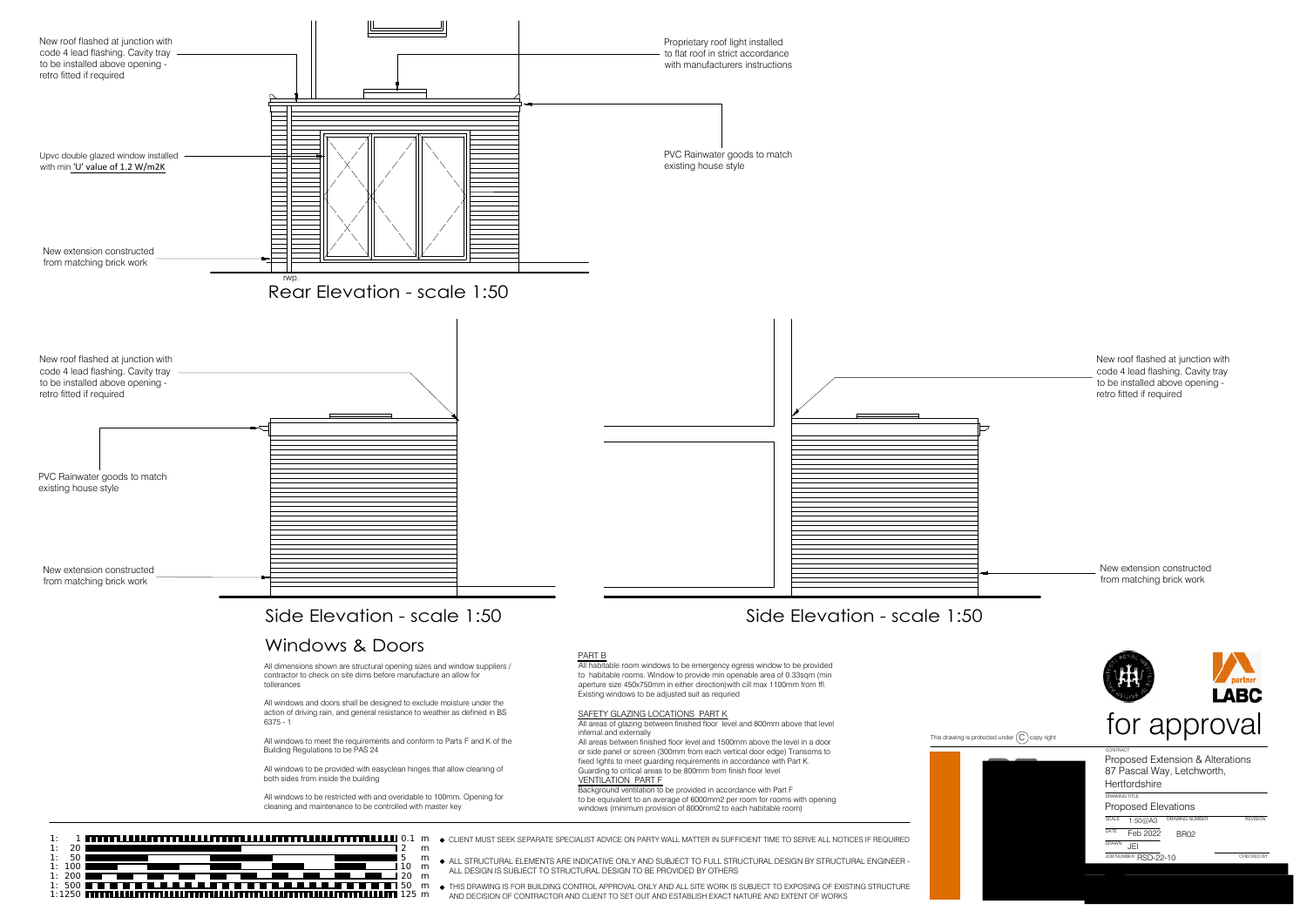





This drawing is protected under C copy right<br>
CONTRACT<br>
BROWN DRAWING THE Proposed Extension & Alterations<br>
BROWN SCALE DRAWING THE PROPOSED ELEVATIONS<br>
CONTRACT THE PROPOSED ELEVATIONS<br>
CONTRACT THE PROPOSED OF PROPOSED P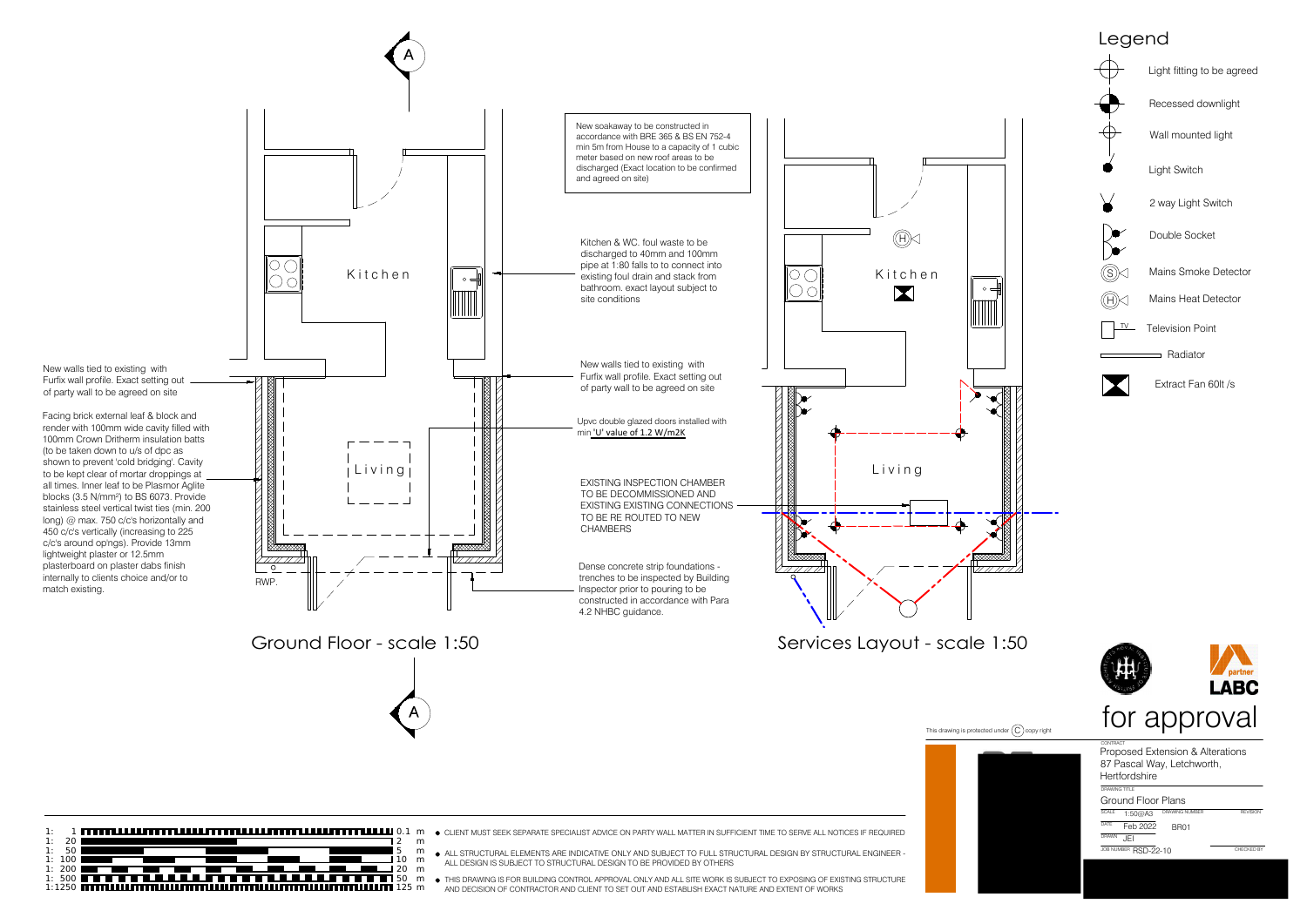

- 
- 
- 
-